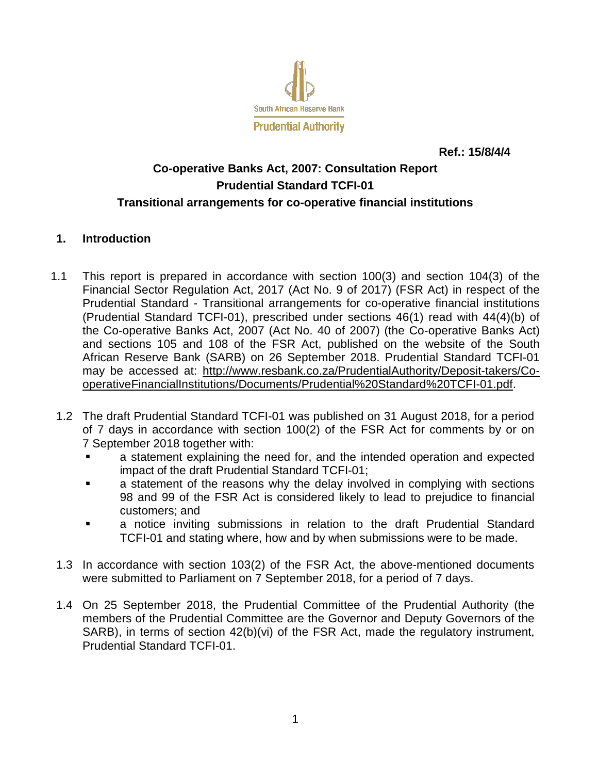

**Ref.: 15/8/4/4**

# **Co-operative Banks Act, 2007: Consultation Report Prudential Standard TCFI-01 Transitional arrangements for co-operative financial institutions**

## **1. Introduction**

- 1.1 This report is prepared in accordance with section 100(3) and section 104(3) of the Financial Sector Regulation Act, 2017 (Act No. 9 of 2017) (FSR Act) in respect of the Prudential Standard - Transitional arrangements for co-operative financial institutions (Prudential Standard TCFI-01), prescribed under sections 46(1) read with 44(4)(b) of the Co-operative Banks Act, 2007 (Act No. 40 of 2007) (the Co-operative Banks Act) and sections 105 and 108 of the FSR Act, published on the website of the South African Reserve Bank (SARB) on 26 September 2018. Prudential Standard TCFI-01 may be accessed at: [http://www.resbank.co.za/PrudentialAuthority/Deposit-takers/Co](http://www.resbank.co.za/PrudentialAuthority/Deposit-takers/Co-operativeFinancialInstitutions/Documents/Prudential%20Standard%20TCFI-01.pdf)[operativeFinancialInstitutions/Documents/Prudential%20Standard%20TCFI-01.pdf.](http://www.resbank.co.za/PrudentialAuthority/Deposit-takers/Co-operativeFinancialInstitutions/Documents/Prudential%20Standard%20TCFI-01.pdf)
- 1.2 The draft Prudential Standard TCFI-01 was published on 31 August 2018, for a period of 7 days in accordance with section 100(2) of the FSR Act for comments by or on 7 September 2018 together with:
	- a statement explaining the need for, and the intended operation and expected impact of the draft Prudential Standard TCFI-01;
	- a statement of the reasons why the delay involved in complying with sections 98 and 99 of the FSR Act is considered likely to lead to prejudice to financial customers; and
	- a notice inviting submissions in relation to the draft Prudential Standard TCFI-01 and stating where, how and by when submissions were to be made.
- 1.3 In accordance with section 103(2) of the FSR Act, the above-mentioned documents were submitted to Parliament on 7 September 2018, for a period of 7 days.
- 1.4 On 25 September 2018, the Prudential Committee of the Prudential Authority (the members of the Prudential Committee are the Governor and Deputy Governors of the SARB), in terms of section 42(b)(vi) of the FSR Act, made the regulatory instrument, Prudential Standard TCFI-01.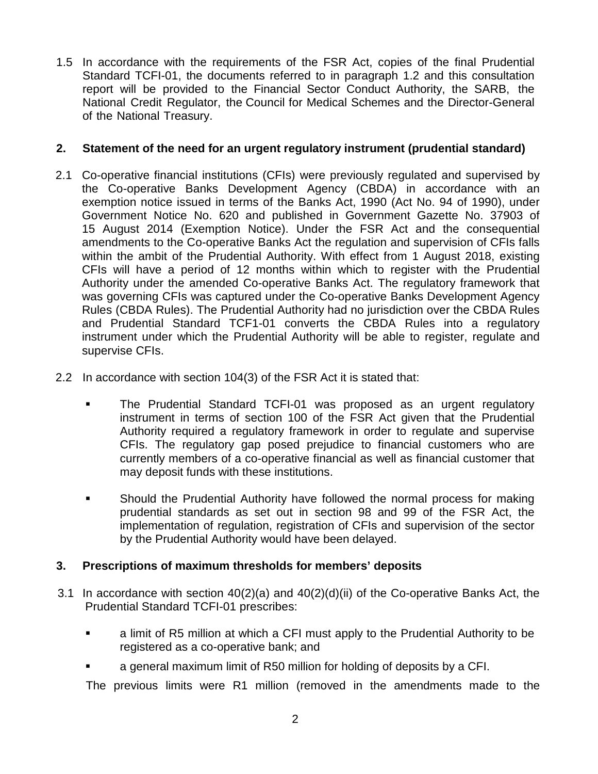1.5 In accordance with the requirements of the FSR Act, copies of the final Prudential Standard TCFI-01, the documents referred to in paragraph 1.2 and this consultation report will be provided to the Financial Sector Conduct Authority, the SARB, the National Credit Regulator, the Council for Medical Schemes and the Director-General of the National Treasury.

## **2. Statement of the need for an urgent regulatory instrument (prudential standard)**

- 2.1 Co-operative financial institutions (CFIs) were previously regulated and supervised by the Co-operative Banks Development Agency (CBDA) in accordance with an exemption notice issued in terms of the Banks Act, 1990 (Act No. 94 of 1990), under Government Notice No. 620 and published in Government Gazette No. 37903 of 15 August 2014 (Exemption Notice). Under the FSR Act and the consequential amendments to the Co-operative Banks Act the regulation and supervision of CFIs falls within the ambit of the Prudential Authority. With effect from 1 August 2018, existing CFIs will have a period of 12 months within which to register with the Prudential Authority under the amended Co-operative Banks Act. The regulatory framework that was governing CFIs was captured under the Co-operative Banks Development Agency Rules (CBDA Rules). The Prudential Authority had no jurisdiction over the CBDA Rules and Prudential Standard TCF1-01 converts the CBDA Rules into a regulatory instrument under which the Prudential Authority will be able to register, regulate and supervise CFIs.
- 2.2 In accordance with section 104(3) of the FSR Act it is stated that:
	- The Prudential Standard TCFI-01 was proposed as an urgent regulatory instrument in terms of section 100 of the FSR Act given that the Prudential Authority required a regulatory framework in order to regulate and supervise CFIs. The regulatory gap posed prejudice to financial customers who are currently members of a co-operative financial as well as financial customer that may deposit funds with these institutions.
	- Should the Prudential Authority have followed the normal process for making prudential standards as set out in section 98 and 99 of the FSR Act, the implementation of regulation, registration of CFIs and supervision of the sector by the Prudential Authority would have been delayed.

## **3. Prescriptions of maximum thresholds for members' deposits**

- 3.1 In accordance with section  $40(2)(a)$  and  $40(2)(d)(ii)$  of the Co-operative Banks Act, the Prudential Standard TCFI-01 prescribes:
	- a limit of R5 million at which a CFI must apply to the Prudential Authority to be registered as a co-operative bank; and
	- a general maximum limit of R50 million for holding of deposits by a CFI.

The previous limits were R1 million (removed in the amendments made to the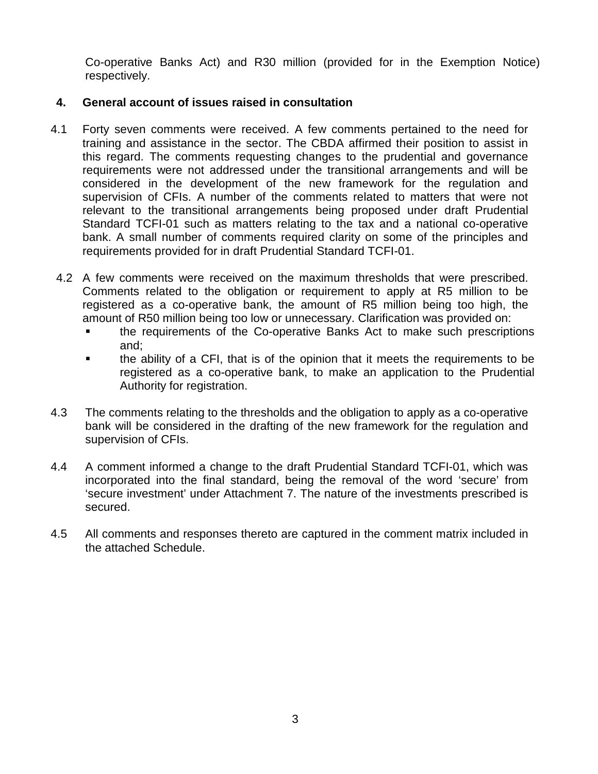Co-operative Banks Act) and R30 million (provided for in the Exemption Notice) respectively.

## **4. General account of issues raised in consultation**

- 4.1 Forty seven comments were received. A few comments pertained to the need for training and assistance in the sector. The CBDA affirmed their position to assist in this regard. The comments requesting changes to the prudential and governance requirements were not addressed under the transitional arrangements and will be considered in the development of the new framework for the regulation and supervision of CFIs. A number of the comments related to matters that were not relevant to the transitional arrangements being proposed under draft Prudential Standard TCFI-01 such as matters relating to the tax and a national co-operative bank. A small number of comments required clarity on some of the principles and requirements provided for in draft Prudential Standard TCFI-01.
- 4.2 A few comments were received on the maximum thresholds that were prescribed. Comments related to the obligation or requirement to apply at R5 million to be registered as a co-operative bank, the amount of R5 million being too high, the amount of R50 million being too low or unnecessary. Clarification was provided on:
	- the requirements of the Co-operative Banks Act to make such prescriptions and;
	- the ability of a CFI, that is of the opinion that it meets the requirements to be registered as a co-operative bank, to make an application to the Prudential Authority for registration.
- 4.3 The comments relating to the thresholds and the obligation to apply as a co-operative bank will be considered in the drafting of the new framework for the regulation and supervision of CFIs.
- 4.4 A comment informed a change to the draft Prudential Standard TCFI-01, which was incorporated into the final standard, being the removal of the word 'secure' from 'secure investment' under Attachment 7. The nature of the investments prescribed is secured.
- 4.5 All comments and responses thereto are captured in the comment matrix included in the attached Schedule.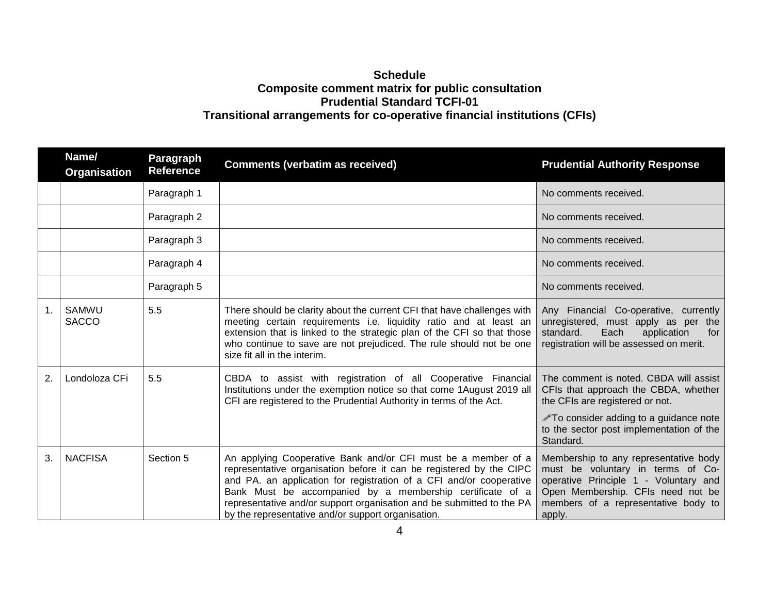## **Schedule Composite comment matrix for public consultation Prudential Standard TCFI-01 Transitional arrangements for co-operative financial institutions (CFIs)**

|    | Name/<br>Organisation | <b>Paragraph</b><br><b>Reference</b> | <b>Comments (verbatim as received)</b>                                                                                                                                                                                                                                                                                                                                                                  | <b>Prudential Authority Response</b>                                                                                                                                                                                        |
|----|-----------------------|--------------------------------------|---------------------------------------------------------------------------------------------------------------------------------------------------------------------------------------------------------------------------------------------------------------------------------------------------------------------------------------------------------------------------------------------------------|-----------------------------------------------------------------------------------------------------------------------------------------------------------------------------------------------------------------------------|
|    |                       | Paragraph 1                          |                                                                                                                                                                                                                                                                                                                                                                                                         | No comments received.                                                                                                                                                                                                       |
|    |                       | Paragraph 2                          |                                                                                                                                                                                                                                                                                                                                                                                                         | No comments received.                                                                                                                                                                                                       |
|    |                       | Paragraph 3                          |                                                                                                                                                                                                                                                                                                                                                                                                         | No comments received.                                                                                                                                                                                                       |
|    |                       | Paragraph 4                          |                                                                                                                                                                                                                                                                                                                                                                                                         | No comments received.                                                                                                                                                                                                       |
|    |                       | Paragraph 5                          |                                                                                                                                                                                                                                                                                                                                                                                                         | No comments received.                                                                                                                                                                                                       |
| 1. | SAMWU<br><b>SACCO</b> | 5.5                                  | There should be clarity about the current CFI that have challenges with<br>meeting certain requirements i.e. liquidity ratio and at least an<br>extension that is linked to the strategic plan of the CFI so that those<br>who continue to save are not prejudiced. The rule should not be one<br>size fit all in the interim.                                                                          | Any Financial Co-operative, currently<br>unregistered, must apply as per the<br>standard.<br>Each<br>application<br>for<br>registration will be assessed on merit.                                                          |
| 2. | Londoloza CFi         | 5.5                                  | CBDA to assist with registration of all Cooperative Financial<br>Institutions under the exemption notice so that come 1August 2019 all<br>CFI are registered to the Prudential Authority in terms of the Act.                                                                                                                                                                                           | The comment is noted. CBDA will assist<br>CFIs that approach the CBDA, whether<br>the CFIs are registered or not.<br><b>∕To consider adding to a guidance note</b><br>to the sector post implementation of the<br>Standard. |
| 3. | <b>NACFISA</b>        | Section 5                            | An applying Cooperative Bank and/or CFI must be a member of a<br>representative organisation before it can be registered by the CIPC<br>and PA. an application for registration of a CFI and/or cooperative<br>Bank Must be accompanied by a membership certificate of a<br>representative and/or support organisation and be submitted to the PA<br>by the representative and/or support organisation. | Membership to any representative body<br>must be voluntary in terms of Co-<br>operative Principle 1 - Voluntary and<br>Open Membership. CFIs need not be<br>members of a representative body to<br>apply.                   |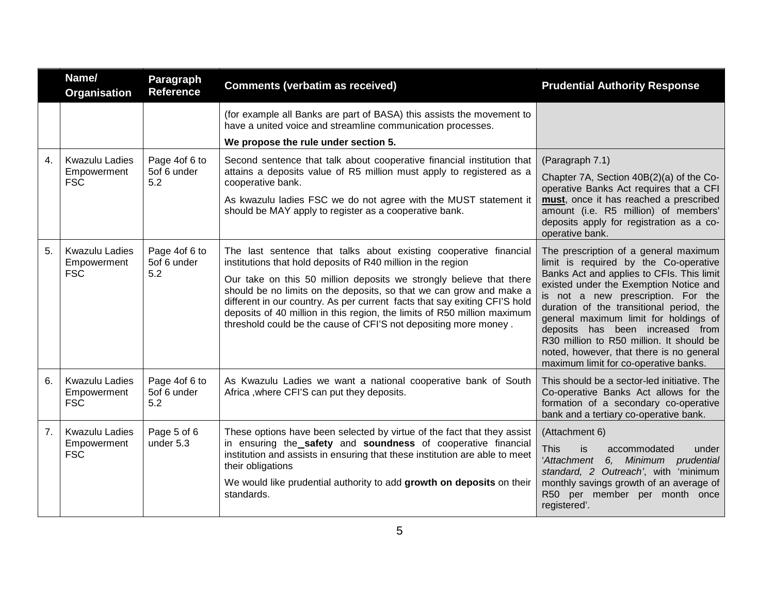|                | Name/<br>Organisation                              | Paragraph<br><b>Reference</b>       | <b>Comments (verbatim as received)</b>                                                                                                                                                                                                                                                                                                                                                                                                                                                                        | <b>Prudential Authority Response</b>                                                                                                                                                                                                                                                                                                                                                                                                                                  |
|----------------|----------------------------------------------------|-------------------------------------|---------------------------------------------------------------------------------------------------------------------------------------------------------------------------------------------------------------------------------------------------------------------------------------------------------------------------------------------------------------------------------------------------------------------------------------------------------------------------------------------------------------|-----------------------------------------------------------------------------------------------------------------------------------------------------------------------------------------------------------------------------------------------------------------------------------------------------------------------------------------------------------------------------------------------------------------------------------------------------------------------|
|                |                                                    |                                     | (for example all Banks are part of BASA) this assists the movement to<br>have a united voice and streamline communication processes.<br>We propose the rule under section 5.                                                                                                                                                                                                                                                                                                                                  |                                                                                                                                                                                                                                                                                                                                                                                                                                                                       |
| $\mathbf{4}$ . | <b>Kwazulu Ladies</b><br>Empowerment<br><b>FSC</b> | Page 4of 6 to<br>5of 6 under<br>5.2 | Second sentence that talk about cooperative financial institution that<br>attains a deposits value of R5 million must apply to registered as a<br>cooperative bank.<br>As kwazulu ladies FSC we do not agree with the MUST statement it<br>should be MAY apply to register as a cooperative bank.                                                                                                                                                                                                             | (Paragraph 7.1)<br>Chapter 7A, Section 40B(2)(a) of the Co-<br>operative Banks Act requires that a CFI<br>must, once it has reached a prescribed<br>amount (i.e. R5 million) of members'<br>deposits apply for registration as a co-<br>operative bank.                                                                                                                                                                                                               |
| 5.             | <b>Kwazulu Ladies</b><br>Empowerment<br><b>FSC</b> | Page 4of 6 to<br>5of 6 under<br>5.2 | The last sentence that talks about existing cooperative financial<br>institutions that hold deposits of R40 million in the region<br>Our take on this 50 million deposits we strongly believe that there<br>should be no limits on the deposits, so that we can grow and make a<br>different in our country. As per current facts that say exiting CFI'S hold<br>deposits of 40 million in this region, the limits of R50 million maximum<br>threshold could be the cause of CFI'S not depositing more money. | The prescription of a general maximum<br>limit is required by the Co-operative<br>Banks Act and applies to CFIs. This limit<br>existed under the Exemption Notice and<br>is not a new prescription. For the<br>duration of the transitional period, the<br>general maximum limit for holdings of<br>deposits has been increased from<br>R30 million to R50 million. It should be<br>noted, however, that there is no general<br>maximum limit for co-operative banks. |
| 6.             | <b>Kwazulu Ladies</b><br>Empowerment<br><b>FSC</b> | Page 4of 6 to<br>5of 6 under<br>5.2 | As Kwazulu Ladies we want a national cooperative bank of South<br>Africa, where CFI'S can put they deposits.                                                                                                                                                                                                                                                                                                                                                                                                  | This should be a sector-led initiative. The<br>Co-operative Banks Act allows for the<br>formation of a secondary co-operative<br>bank and a tertiary co-operative bank.                                                                                                                                                                                                                                                                                               |
| 7 <sub>1</sub> | <b>Kwazulu Ladies</b><br>Empowerment<br><b>FSC</b> | Page 5 of 6<br>under 5.3            | These options have been selected by virtue of the fact that they assist<br>in ensuring the safety and soundness of cooperative financial<br>institution and assists in ensuring that these institution are able to meet<br>their obligations<br>We would like prudential authority to add growth on deposits on their<br>standards.                                                                                                                                                                           | (Attachment 6)<br><b>This</b><br>is<br>accommodated<br>under<br>'Attachment<br>6, Minimum prudential<br>standard, 2 Outreach', with 'minimum<br>monthly savings growth of an average of<br>R50 per member per month once<br>registered'.                                                                                                                                                                                                                              |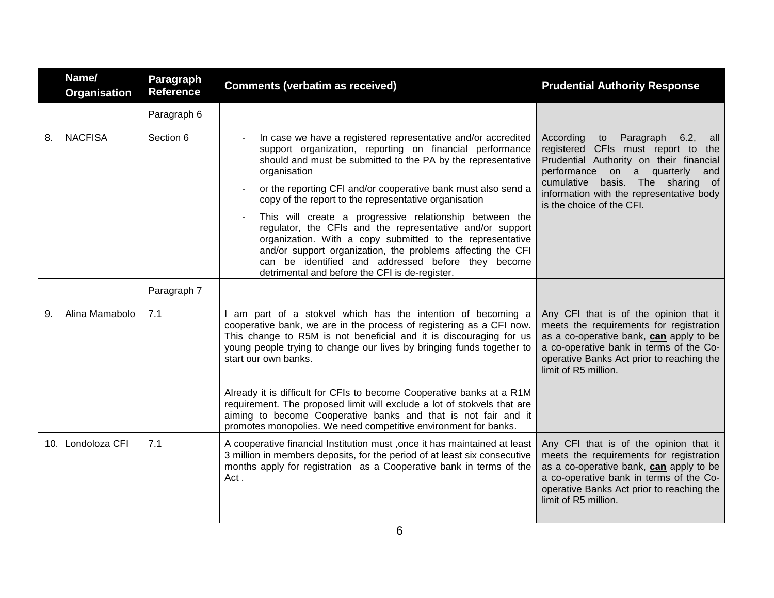|     | Name/<br><b>Organisation</b> | Paragraph<br><b>Reference</b> | <b>Comments (verbatim as received)</b>                                                                                                                                                                                                                                                                                                                                                                                                                                                                                                                                                                                                                                                                            | <b>Prudential Authority Response</b>                                                                                                                                                                                                                                        |
|-----|------------------------------|-------------------------------|-------------------------------------------------------------------------------------------------------------------------------------------------------------------------------------------------------------------------------------------------------------------------------------------------------------------------------------------------------------------------------------------------------------------------------------------------------------------------------------------------------------------------------------------------------------------------------------------------------------------------------------------------------------------------------------------------------------------|-----------------------------------------------------------------------------------------------------------------------------------------------------------------------------------------------------------------------------------------------------------------------------|
|     |                              | Paragraph 6                   |                                                                                                                                                                                                                                                                                                                                                                                                                                                                                                                                                                                                                                                                                                                   |                                                                                                                                                                                                                                                                             |
| 8.  | <b>NACFISA</b>               | Section 6                     | In case we have a registered representative and/or accredited<br>$\blacksquare$<br>support organization, reporting on financial performance<br>should and must be submitted to the PA by the representative<br>organisation<br>or the reporting CFI and/or cooperative bank must also send a<br>copy of the report to the representative organisation<br>This will create a progressive relationship between the<br>regulator, the CFIs and the representative and/or support<br>organization. With a copy submitted to the representative<br>and/or support organization, the problems affecting the CFI<br>can be identified and addressed before they become<br>detrimental and before the CFI is de-register. | According<br>to Paragraph 6.2,<br>all<br>registered CFIs must report to the<br>Prudential Authority on their financial<br>performance on a quarterly<br>and<br>basis. The sharing of<br>cumulative<br>information with the representative body<br>is the choice of the CFI. |
|     |                              | Paragraph 7                   |                                                                                                                                                                                                                                                                                                                                                                                                                                                                                                                                                                                                                                                                                                                   |                                                                                                                                                                                                                                                                             |
| 9.  | Alina Mamabolo               | 7.1                           | I am part of a stokvel which has the intention of becoming a<br>cooperative bank, we are in the process of registering as a CFI now.<br>This change to R5M is not beneficial and it is discouraging for us<br>young people trying to change our lives by bringing funds together to<br>start our own banks.                                                                                                                                                                                                                                                                                                                                                                                                       | Any CFI that is of the opinion that it<br>meets the requirements for registration<br>as a co-operative bank, can apply to be<br>a co-operative bank in terms of the Co-<br>operative Banks Act prior to reaching the<br>limit of R5 million.                                |
|     |                              |                               | Already it is difficult for CFIs to become Cooperative banks at a R1M<br>requirement. The proposed limit will exclude a lot of stokvels that are<br>aiming to become Cooperative banks and that is not fair and it<br>promotes monopolies. We need competitive environment for banks.                                                                                                                                                                                                                                                                                                                                                                                                                             |                                                                                                                                                                                                                                                                             |
| 10. | Londoloza CFI                | 7.1                           | A cooperative financial Institution must , once it has maintained at least<br>3 million in members deposits, for the period of at least six consecutive<br>months apply for registration as a Cooperative bank in terms of the<br>Act.                                                                                                                                                                                                                                                                                                                                                                                                                                                                            | Any CFI that is of the opinion that it<br>meets the requirements for registration<br>as a co-operative bank, can apply to be<br>a co-operative bank in terms of the Co-<br>operative Banks Act prior to reaching the<br>limit of R5 million.                                |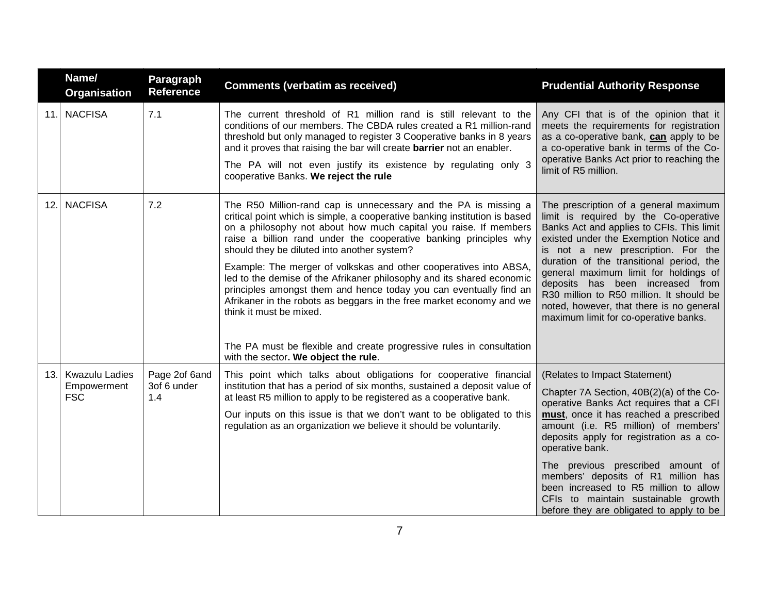|     | Name/<br>Organisation                              | <b>Paragraph</b><br><b>Reference</b> | <b>Comments (verbatim as received)</b>                                                                                                                                                                                                                                                                                                                                                                                                                                                                                                                                                                                                                                                                                                                                       | <b>Prudential Authority Response</b>                                                                                                                                                                                                                                                                                                                                                                                                                                          |
|-----|----------------------------------------------------|--------------------------------------|------------------------------------------------------------------------------------------------------------------------------------------------------------------------------------------------------------------------------------------------------------------------------------------------------------------------------------------------------------------------------------------------------------------------------------------------------------------------------------------------------------------------------------------------------------------------------------------------------------------------------------------------------------------------------------------------------------------------------------------------------------------------------|-------------------------------------------------------------------------------------------------------------------------------------------------------------------------------------------------------------------------------------------------------------------------------------------------------------------------------------------------------------------------------------------------------------------------------------------------------------------------------|
| 11. | <b>NACFISA</b>                                     | 7.1                                  | The current threshold of R1 million rand is still relevant to the<br>conditions of our members. The CBDA rules created a R1 million-rand<br>threshold but only managed to register 3 Cooperative banks in 8 years<br>and it proves that raising the bar will create <b>barrier</b> not an enabler.<br>The PA will not even justify its existence by regulating only 3<br>cooperative Banks. We reject the rule                                                                                                                                                                                                                                                                                                                                                               | Any CFI that is of the opinion that it<br>meets the requirements for registration<br>as a co-operative bank, can apply to be<br>a co-operative bank in terms of the Co-<br>operative Banks Act prior to reaching the<br>limit of R5 million.                                                                                                                                                                                                                                  |
| 12. | <b>NACFISA</b>                                     | 7.2                                  | The R50 Million-rand cap is unnecessary and the PA is missing a<br>critical point which is simple, a cooperative banking institution is based<br>on a philosophy not about how much capital you raise. If members<br>raise a billion rand under the cooperative banking principles why<br>should they be diluted into another system?<br>Example: The merger of volkskas and other cooperatives into ABSA,<br>led to the demise of the Afrikaner philosophy and its shared economic<br>principles amongst them and hence today you can eventually find an<br>Afrikaner in the robots as beggars in the free market economy and we<br>think it must be mixed.<br>The PA must be flexible and create progressive rules in consultation<br>with the sector. We object the rule. | The prescription of a general maximum<br>limit is required by the Co-operative<br>Banks Act and applies to CFIs. This limit<br>existed under the Exemption Notice and<br>is not a new prescription. For the<br>duration of the transitional period, the<br>general maximum limit for holdings of<br>deposits has been increased from<br>R30 million to R50 million. It should be<br>noted, however, that there is no general<br>maximum limit for co-operative banks.         |
| 13. | <b>Kwazulu Ladies</b><br>Empowerment<br><b>FSC</b> | Page 2of 6and<br>3of 6 under<br>1.4  | This point which talks about obligations for cooperative financial<br>institution that has a period of six months, sustained a deposit value of<br>at least R5 million to apply to be registered as a cooperative bank.<br>Our inputs on this issue is that we don't want to be obligated to this<br>regulation as an organization we believe it should be voluntarily.                                                                                                                                                                                                                                                                                                                                                                                                      | (Relates to Impact Statement)<br>Chapter 7A Section, 40B(2)(a) of the Co-<br>operative Banks Act requires that a CFI<br>must, once it has reached a prescribed<br>amount (i.e. R5 million) of members'<br>deposits apply for registration as a co-<br>operative bank.<br>The previous prescribed amount of<br>members' deposits of R1 million has<br>been increased to R5 million to allow<br>CFIs to maintain sustainable growth<br>before they are obligated to apply to be |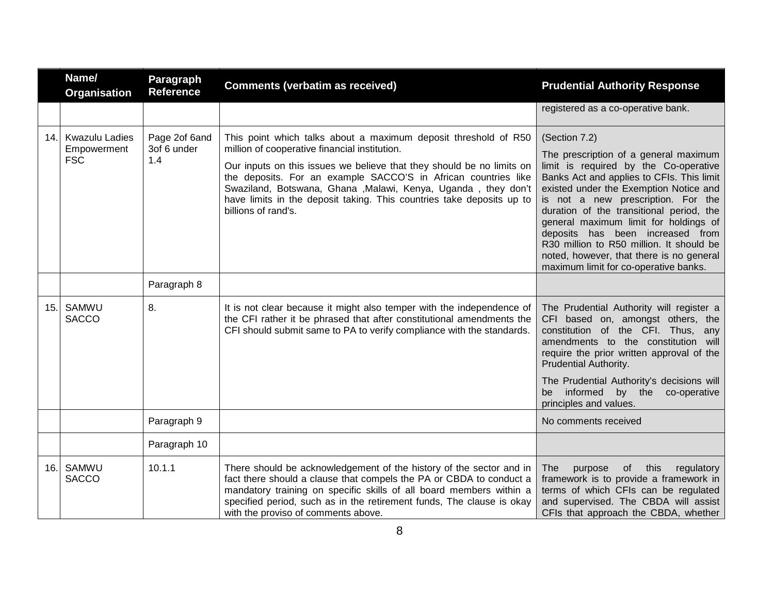|     | Name/<br><b>Organisation</b>                       | Paragraph<br><b>Reference</b>       | <b>Comments (verbatim as received)</b>                                                                                                                                                                                                                                                                                                                                                                                        | <b>Prudential Authority Response</b>                                                                                                                                                                                                                                                                                                                                                                                                                                                   |
|-----|----------------------------------------------------|-------------------------------------|-------------------------------------------------------------------------------------------------------------------------------------------------------------------------------------------------------------------------------------------------------------------------------------------------------------------------------------------------------------------------------------------------------------------------------|----------------------------------------------------------------------------------------------------------------------------------------------------------------------------------------------------------------------------------------------------------------------------------------------------------------------------------------------------------------------------------------------------------------------------------------------------------------------------------------|
|     |                                                    |                                     |                                                                                                                                                                                                                                                                                                                                                                                                                               | registered as a co-operative bank.                                                                                                                                                                                                                                                                                                                                                                                                                                                     |
| 14. | <b>Kwazulu Ladies</b><br>Empowerment<br><b>FSC</b> | Page 2of 6and<br>3of 6 under<br>1.4 | This point which talks about a maximum deposit threshold of R50<br>million of cooperative financial institution.<br>Our inputs on this issues we believe that they should be no limits on<br>the deposits. For an example SACCO'S in African countries like<br>Swaziland, Botswana, Ghana , Malawi, Kenya, Uganda, they don't<br>have limits in the deposit taking. This countries take deposits up to<br>billions of rand's. | (Section 7.2)<br>The prescription of a general maximum<br>limit is required by the Co-operative<br>Banks Act and applies to CFIs. This limit<br>existed under the Exemption Notice and<br>is not a new prescription. For the<br>duration of the transitional period, the<br>general maximum limit for holdings of<br>deposits has been increased from<br>R30 million to R50 million. It should be<br>noted, however, that there is no general<br>maximum limit for co-operative banks. |
|     |                                                    | Paragraph 8                         |                                                                                                                                                                                                                                                                                                                                                                                                                               |                                                                                                                                                                                                                                                                                                                                                                                                                                                                                        |
| 15. | SAMWU<br><b>SACCO</b>                              | 8.                                  | It is not clear because it might also temper with the independence of<br>the CFI rather it be phrased that after constitutional amendments the<br>CFI should submit same to PA to verify compliance with the standards.                                                                                                                                                                                                       | The Prudential Authority will register a<br>CFI based on, amongst others, the<br>constitution of the CFI. Thus, any<br>amendments to the constitution will<br>require the prior written approval of the<br>Prudential Authority.                                                                                                                                                                                                                                                       |
|     |                                                    |                                     |                                                                                                                                                                                                                                                                                                                                                                                                                               | The Prudential Authority's decisions will<br>informed<br>by the<br>co-operative<br>be<br>principles and values.                                                                                                                                                                                                                                                                                                                                                                        |
|     |                                                    | Paragraph 9                         |                                                                                                                                                                                                                                                                                                                                                                                                                               | No comments received                                                                                                                                                                                                                                                                                                                                                                                                                                                                   |
|     |                                                    | Paragraph 10                        |                                                                                                                                                                                                                                                                                                                                                                                                                               |                                                                                                                                                                                                                                                                                                                                                                                                                                                                                        |
| 16. | SAMWU<br><b>SACCO</b>                              | 10.1.1                              | There should be acknowledgement of the history of the sector and in<br>fact there should a clause that compels the PA or CBDA to conduct a<br>mandatory training on specific skills of all board members within a<br>specified period, such as in the retirement funds, The clause is okay<br>with the proviso of comments above.                                                                                             | this<br>regulatory<br>The<br>purpose<br>of<br>framework is to provide a framework in<br>terms of which CFIs can be regulated<br>and supervised. The CBDA will assist<br>CFIs that approach the CBDA, whether                                                                                                                                                                                                                                                                           |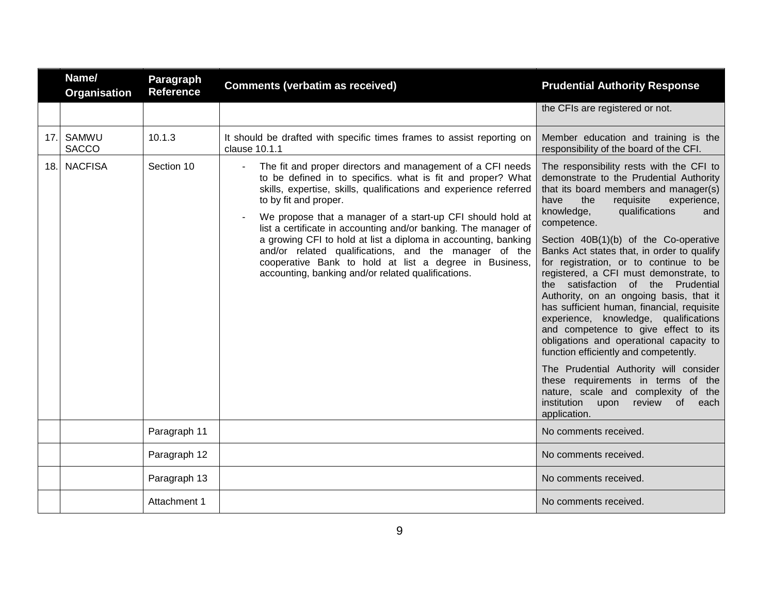|     | Name/<br>Organisation | Paragraph<br><b>Reference</b> | <b>Comments (verbatim as received)</b>                                                                                                                                                                                                                                                                                                                                                                                                                                                                                                                                                                                | <b>Prudential Authority Response</b>                                                                                                                                                                                                                                                                                                                                                                                                                                                                                                                                                                                                                                                                                                                                                                                                                                                               |
|-----|-----------------------|-------------------------------|-----------------------------------------------------------------------------------------------------------------------------------------------------------------------------------------------------------------------------------------------------------------------------------------------------------------------------------------------------------------------------------------------------------------------------------------------------------------------------------------------------------------------------------------------------------------------------------------------------------------------|----------------------------------------------------------------------------------------------------------------------------------------------------------------------------------------------------------------------------------------------------------------------------------------------------------------------------------------------------------------------------------------------------------------------------------------------------------------------------------------------------------------------------------------------------------------------------------------------------------------------------------------------------------------------------------------------------------------------------------------------------------------------------------------------------------------------------------------------------------------------------------------------------|
|     |                       |                               |                                                                                                                                                                                                                                                                                                                                                                                                                                                                                                                                                                                                                       | the CFIs are registered or not.                                                                                                                                                                                                                                                                                                                                                                                                                                                                                                                                                                                                                                                                                                                                                                                                                                                                    |
| 17. | SAMWU<br><b>SACCO</b> | 10.1.3                        | It should be drafted with specific times frames to assist reporting on<br>clause 10.1.1                                                                                                                                                                                                                                                                                                                                                                                                                                                                                                                               | Member education and training is the<br>responsibility of the board of the CFI.                                                                                                                                                                                                                                                                                                                                                                                                                                                                                                                                                                                                                                                                                                                                                                                                                    |
| 18. | <b>NACFISA</b>        | Section 10                    | The fit and proper directors and management of a CFI needs<br>$\blacksquare$<br>to be defined in to specifics. what is fit and proper? What<br>skills, expertise, skills, qualifications and experience referred<br>to by fit and proper.<br>We propose that a manager of a start-up CFI should hold at<br>list a certificate in accounting and/or banking. The manager of<br>a growing CFI to hold at list a diploma in accounting, banking<br>and/or related qualifications, and the manager of the<br>cooperative Bank to hold at list a degree in Business,<br>accounting, banking and/or related qualifications. | The responsibility rests with the CFI to<br>demonstrate to the Prudential Authority<br>that its board members and manager(s)<br>have<br>the<br>requisite<br>experience,<br>knowledge,<br>qualifications<br>and<br>competence.<br>Section 40B(1)(b) of the Co-operative<br>Banks Act states that, in order to qualify<br>for registration, or to continue to be<br>registered, a CFI must demonstrate, to<br>the satisfaction of the Prudential<br>Authority, on an ongoing basis, that it<br>has sufficient human, financial, requisite<br>experience, knowledge, qualifications<br>and competence to give effect to its<br>obligations and operational capacity to<br>function efficiently and competently.<br>The Prudential Authority will consider<br>these requirements in terms of the<br>nature, scale and complexity of the<br>institution<br>review<br>of<br>upon<br>each<br>application. |
|     |                       | Paragraph 11                  |                                                                                                                                                                                                                                                                                                                                                                                                                                                                                                                                                                                                                       | No comments received.                                                                                                                                                                                                                                                                                                                                                                                                                                                                                                                                                                                                                                                                                                                                                                                                                                                                              |
|     |                       | Paragraph 12                  |                                                                                                                                                                                                                                                                                                                                                                                                                                                                                                                                                                                                                       | No comments received.                                                                                                                                                                                                                                                                                                                                                                                                                                                                                                                                                                                                                                                                                                                                                                                                                                                                              |
|     |                       | Paragraph 13                  |                                                                                                                                                                                                                                                                                                                                                                                                                                                                                                                                                                                                                       | No comments received.                                                                                                                                                                                                                                                                                                                                                                                                                                                                                                                                                                                                                                                                                                                                                                                                                                                                              |
|     |                       | Attachment 1                  |                                                                                                                                                                                                                                                                                                                                                                                                                                                                                                                                                                                                                       | No comments received.                                                                                                                                                                                                                                                                                                                                                                                                                                                                                                                                                                                                                                                                                                                                                                                                                                                                              |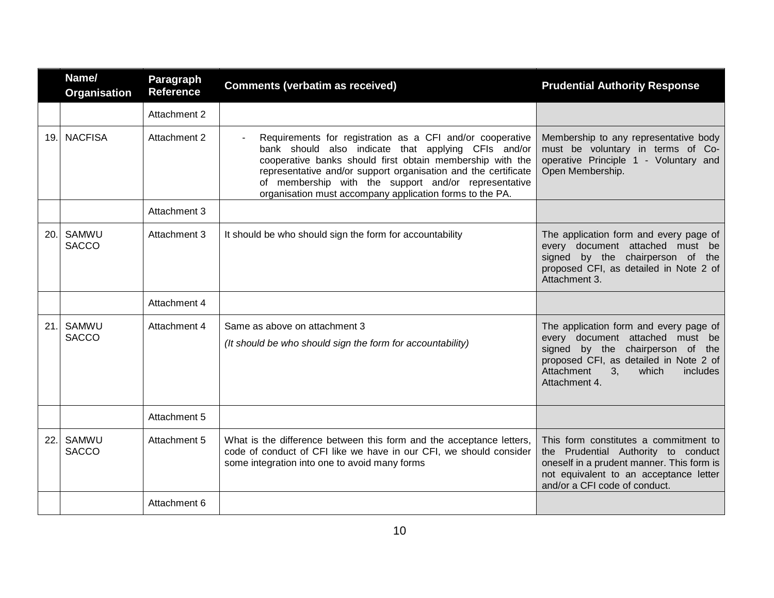|      | Name/<br><b>Organisation</b> | Paragraph<br><b>Reference</b> | <b>Comments (verbatim as received)</b>                                                                                                                                                                                                                                                                                                                              | <b>Prudential Authority Response</b>                                                                                                                                                                                          |
|------|------------------------------|-------------------------------|---------------------------------------------------------------------------------------------------------------------------------------------------------------------------------------------------------------------------------------------------------------------------------------------------------------------------------------------------------------------|-------------------------------------------------------------------------------------------------------------------------------------------------------------------------------------------------------------------------------|
|      |                              | Attachment 2                  |                                                                                                                                                                                                                                                                                                                                                                     |                                                                                                                                                                                                                               |
|      | 19. NACFISA                  | Attachment 2                  | Requirements for registration as a CFI and/or cooperative<br>bank should also indicate that applying CFIs and/or<br>cooperative banks should first obtain membership with the<br>representative and/or support organisation and the certificate<br>of membership with the support and/or representative<br>organisation must accompany application forms to the PA. | Membership to any representative body<br>must be voluntary in terms of Co-<br>operative Principle 1 - Voluntary and<br>Open Membership.                                                                                       |
|      |                              | Attachment 3                  |                                                                                                                                                                                                                                                                                                                                                                     |                                                                                                                                                                                                                               |
| 20.1 | SAMWU<br><b>SACCO</b>        | Attachment 3                  | It should be who should sign the form for accountability                                                                                                                                                                                                                                                                                                            | The application form and every page of<br>every document attached must be<br>signed by the chairperson of the<br>proposed CFI, as detailed in Note 2 of<br>Attachment 3.                                                      |
|      |                              | Attachment 4                  |                                                                                                                                                                                                                                                                                                                                                                     |                                                                                                                                                                                                                               |
| 21.  | SAMWU<br><b>SACCO</b>        | Attachment 4                  | Same as above on attachment 3<br>(It should be who should sign the form for accountability)                                                                                                                                                                                                                                                                         | The application form and every page of<br>every document attached must be<br>signed by the chairperson of the<br>proposed CFI, as detailed in Note 2 of<br>Attachment<br>3 <sub>1</sub><br>which<br>includes<br>Attachment 4. |
|      |                              | Attachment 5                  |                                                                                                                                                                                                                                                                                                                                                                     |                                                                                                                                                                                                                               |
| 22.  | <b>SAMWU</b><br><b>SACCO</b> | Attachment 5                  | What is the difference between this form and the acceptance letters,<br>code of conduct of CFI like we have in our CFI, we should consider<br>some integration into one to avoid many forms                                                                                                                                                                         | This form constitutes a commitment to<br>the Prudential Authority to conduct<br>oneself in a prudent manner. This form is<br>not equivalent to an acceptance letter<br>and/or a CFI code of conduct.                          |
|      |                              | Attachment 6                  |                                                                                                                                                                                                                                                                                                                                                                     |                                                                                                                                                                                                                               |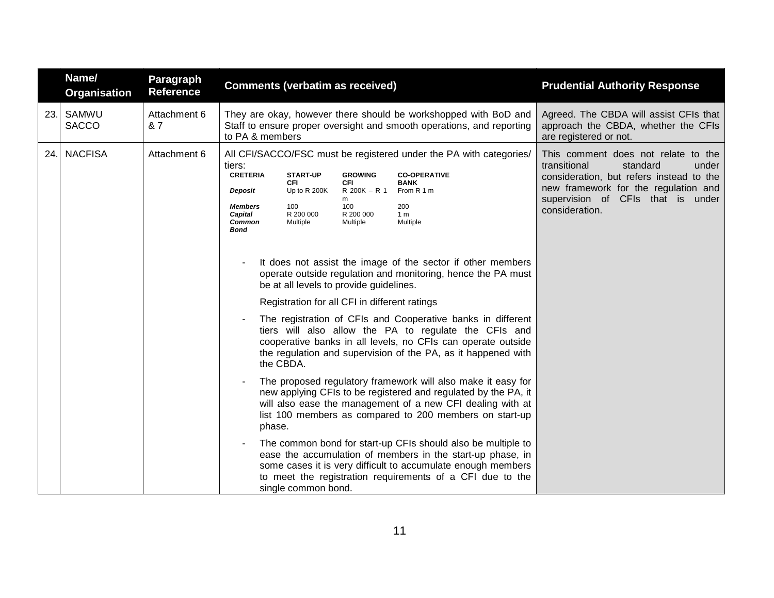|     | Name/<br><b>Organisation</b> | Paragraph<br><b>Reference</b> | <b>Comments (verbatim as received)</b>                                                                                                                      |                                                                                                      |                                                                                                                                                                                          |                                                                                                                                                                                                                                                                                                                                                                                                                                                                                                                                                                                                                                                                                                                                                                                                                                                                                                                                                                                                                                                             | <b>Prudential Authority Response</b>                                                                                                                                                                                |
|-----|------------------------------|-------------------------------|-------------------------------------------------------------------------------------------------------------------------------------------------------------|------------------------------------------------------------------------------------------------------|------------------------------------------------------------------------------------------------------------------------------------------------------------------------------------------|-------------------------------------------------------------------------------------------------------------------------------------------------------------------------------------------------------------------------------------------------------------------------------------------------------------------------------------------------------------------------------------------------------------------------------------------------------------------------------------------------------------------------------------------------------------------------------------------------------------------------------------------------------------------------------------------------------------------------------------------------------------------------------------------------------------------------------------------------------------------------------------------------------------------------------------------------------------------------------------------------------------------------------------------------------------|---------------------------------------------------------------------------------------------------------------------------------------------------------------------------------------------------------------------|
| 23. | SAMWU<br><b>SACCO</b>        | Attachment 6<br>& 7           | They are okay, however there should be workshopped with BoD and<br>Staff to ensure proper oversight and smooth operations, and reporting<br>to PA & members |                                                                                                      |                                                                                                                                                                                          | Agreed. The CBDA will assist CFIs that<br>approach the CBDA, whether the CFIs<br>are registered or not.                                                                                                                                                                                                                                                                                                                                                                                                                                                                                                                                                                                                                                                                                                                                                                                                                                                                                                                                                     |                                                                                                                                                                                                                     |
| 24. | <b>NACFISA</b>               | Attachment 6                  | tiers:<br><b>CRETERIA</b><br>Deposit<br><b>Members</b><br>Capital<br><b>Common</b><br><b>Bond</b><br>$\blacksquare$<br>the CBDA.<br>phase.                  | <b>START-UP</b><br><b>CFI</b><br>Up to R 200K<br>100<br>R 200 000<br>Multiple<br>single common bond. | <b>GROWING</b><br><b>CFI</b><br>R 200K - R 1 From R 1 m<br>m<br>100<br>R 200 000<br>Multiple<br>be at all levels to provide guidelines.<br>Registration for all CFI in different ratings | All CFI/SACCO/FSC must be registered under the PA with categories/<br><b>CO-OPERATIVE</b><br><b>BANK</b><br>200<br>1 <sub>m</sub><br>Multiple<br>It does not assist the image of the sector if other members<br>operate outside regulation and monitoring, hence the PA must<br>The registration of CFIs and Cooperative banks in different<br>tiers will also allow the PA to regulate the CFIs and<br>cooperative banks in all levels, no CFIs can operate outside<br>the regulation and supervision of the PA, as it happened with<br>The proposed regulatory framework will also make it easy for<br>new applying CFIs to be registered and regulated by the PA, it<br>will also ease the management of a new CFI dealing with at<br>list 100 members as compared to 200 members on start-up<br>The common bond for start-up CFIs should also be multiple to<br>ease the accumulation of members in the start-up phase, in<br>some cases it is very difficult to accumulate enough members<br>to meet the registration requirements of a CFI due to the | This comment does not relate to the<br>transitional<br>standard<br>under<br>consideration, but refers instead to the<br>new framework for the regulation and<br>supervision of CFIs that is under<br>consideration. |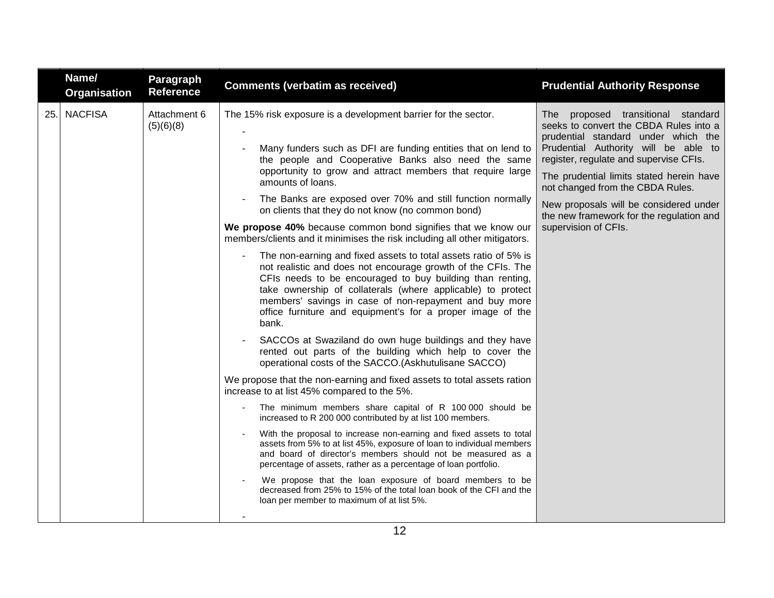|     | Name/<br>Organisation | Paragraph<br><b>Reference</b> | <b>Comments (verbatim as received)</b>                                                                                                                                                                                                                                                                                                                                                                                                                                                                                                                                                                                                                                                                                                                                                                                                                                                                                                                                                                                                                                                                                                                                                                                                                                                                                                                                                                                                                                                                                                                                                                                           | <b>Prudential Authority Response</b>                                                                                                                                                                                                                                                                                                                                                                |
|-----|-----------------------|-------------------------------|----------------------------------------------------------------------------------------------------------------------------------------------------------------------------------------------------------------------------------------------------------------------------------------------------------------------------------------------------------------------------------------------------------------------------------------------------------------------------------------------------------------------------------------------------------------------------------------------------------------------------------------------------------------------------------------------------------------------------------------------------------------------------------------------------------------------------------------------------------------------------------------------------------------------------------------------------------------------------------------------------------------------------------------------------------------------------------------------------------------------------------------------------------------------------------------------------------------------------------------------------------------------------------------------------------------------------------------------------------------------------------------------------------------------------------------------------------------------------------------------------------------------------------------------------------------------------------------------------------------------------------|-----------------------------------------------------------------------------------------------------------------------------------------------------------------------------------------------------------------------------------------------------------------------------------------------------------------------------------------------------------------------------------------------------|
| 25. | <b>NACFISA</b>        | Attachment 6<br>(5)(6)(8)     | The 15% risk exposure is a development barrier for the sector.<br>Many funders such as DFI are funding entities that on lend to<br>the people and Cooperative Banks also need the same<br>opportunity to grow and attract members that require large<br>amounts of loans.<br>The Banks are exposed over 70% and still function normally<br>$\blacksquare$<br>on clients that they do not know (no common bond)<br>We propose 40% because common bond signifies that we know our<br>members/clients and it minimises the risk including all other mitigators.<br>The non-earning and fixed assets to total assets ratio of 5% is<br>$\blacksquare$<br>not realistic and does not encourage growth of the CFIs. The<br>CFIs needs to be encouraged to buy building than renting,<br>take ownership of collaterals (where applicable) to protect<br>members' savings in case of non-repayment and buy more<br>office furniture and equipment's for a proper image of the<br>bank.<br>SACCOs at Swaziland do own huge buildings and they have<br>rented out parts of the building which help to cover the<br>operational costs of the SACCO.(Askhutulisane SACCO)<br>We propose that the non-earning and fixed assets to total assets ration<br>increase to at list 45% compared to the 5%.<br>The minimum members share capital of R 100 000 should be<br>increased to R 200 000 contributed by at list 100 members.<br>With the proposal to increase non-earning and fixed assets to total<br>assets from 5% to at list 45%, exposure of loan to individual members<br>and board of director's members should not be measured as a | The proposed transitional standard<br>seeks to convert the CBDA Rules into a<br>prudential standard under which the<br>Prudential Authority will be able to<br>register, regulate and supervise CFIs.<br>The prudential limits stated herein have<br>not changed from the CBDA Rules.<br>New proposals will be considered under<br>the new framework for the regulation and<br>supervision of CFIs. |
|     |                       |                               | percentage of assets, rather as a percentage of loan portfolio.<br>We propose that the loan exposure of board members to be<br>decreased from 25% to 15% of the total loan book of the CFI and the<br>loan per member to maximum of at list 5%.                                                                                                                                                                                                                                                                                                                                                                                                                                                                                                                                                                                                                                                                                                                                                                                                                                                                                                                                                                                                                                                                                                                                                                                                                                                                                                                                                                                  |                                                                                                                                                                                                                                                                                                                                                                                                     |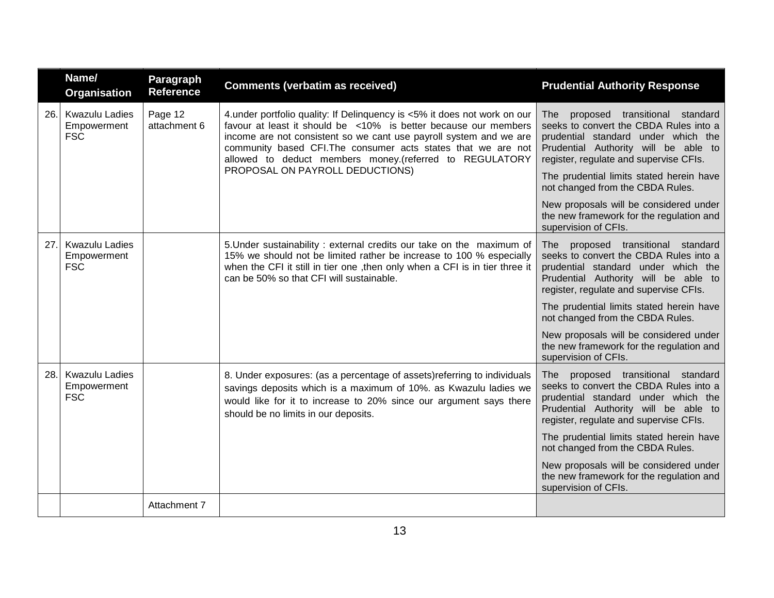|     | Name/<br>Organisation                              | Paragraph<br><b>Reference</b> | <b>Comments (verbatim as received)</b>                                                                                                                                                                                                                                                                                                        | <b>Prudential Authority Response</b>                                                                                                                                                                            |
|-----|----------------------------------------------------|-------------------------------|-----------------------------------------------------------------------------------------------------------------------------------------------------------------------------------------------------------------------------------------------------------------------------------------------------------------------------------------------|-----------------------------------------------------------------------------------------------------------------------------------------------------------------------------------------------------------------|
| 26. | <b>Kwazulu Ladies</b><br>Empowerment<br><b>FSC</b> | Page 12<br>attachment 6       | 4.under portfolio quality: If Delinquency is <5% it does not work on our<br>favour at least it should be <10% is better because our members<br>income are not consistent so we cant use payroll system and we are<br>community based CFI. The consumer acts states that we are not<br>allowed to deduct members money.(referred to REGULATORY | proposed transitional standard<br><b>The</b><br>seeks to convert the CBDA Rules into a<br>prudential standard under which the<br>Prudential Authority will be able to<br>register, regulate and supervise CFIs. |
|     |                                                    |                               | PROPOSAL ON PAYROLL DEDUCTIONS)                                                                                                                                                                                                                                                                                                               | The prudential limits stated herein have<br>not changed from the CBDA Rules.                                                                                                                                    |
|     |                                                    |                               |                                                                                                                                                                                                                                                                                                                                               | New proposals will be considered under<br>the new framework for the regulation and<br>supervision of CFIs.                                                                                                      |
| 27. | <b>Kwazulu Ladies</b><br>Empowerment<br><b>FSC</b> |                               | 5. Under sustainability: external credits our take on the maximum of<br>15% we should not be limited rather be increase to 100 % especially<br>when the CFI it still in tier one , then only when a CFI is in tier three it<br>can be 50% so that CFI will sustainable.                                                                       | proposed transitional standard<br><b>The</b><br>seeks to convert the CBDA Rules into a<br>prudential standard under which the<br>Prudential Authority will be able to<br>register, regulate and supervise CFIs. |
|     |                                                    |                               |                                                                                                                                                                                                                                                                                                                                               | The prudential limits stated herein have<br>not changed from the CBDA Rules.                                                                                                                                    |
|     |                                                    |                               |                                                                                                                                                                                                                                                                                                                                               | New proposals will be considered under<br>the new framework for the regulation and<br>supervision of CFIs.                                                                                                      |
| 28. | <b>Kwazulu Ladies</b><br>Empowerment<br><b>FSC</b> |                               | 8. Under exposures: (as a percentage of assets) referring to individuals<br>savings deposits which is a maximum of 10%. as Kwazulu ladies we<br>would like for it to increase to 20% since our argument says there<br>should be no limits in our deposits.                                                                                    | proposed transitional standard<br>The l<br>seeks to convert the CBDA Rules into a<br>prudential standard under which the<br>Prudential Authority will be able to<br>register, regulate and supervise CFIs.      |
|     |                                                    |                               |                                                                                                                                                                                                                                                                                                                                               | The prudential limits stated herein have<br>not changed from the CBDA Rules.                                                                                                                                    |
|     |                                                    |                               |                                                                                                                                                                                                                                                                                                                                               | New proposals will be considered under<br>the new framework for the regulation and<br>supervision of CFIs.                                                                                                      |
|     |                                                    | Attachment 7                  |                                                                                                                                                                                                                                                                                                                                               |                                                                                                                                                                                                                 |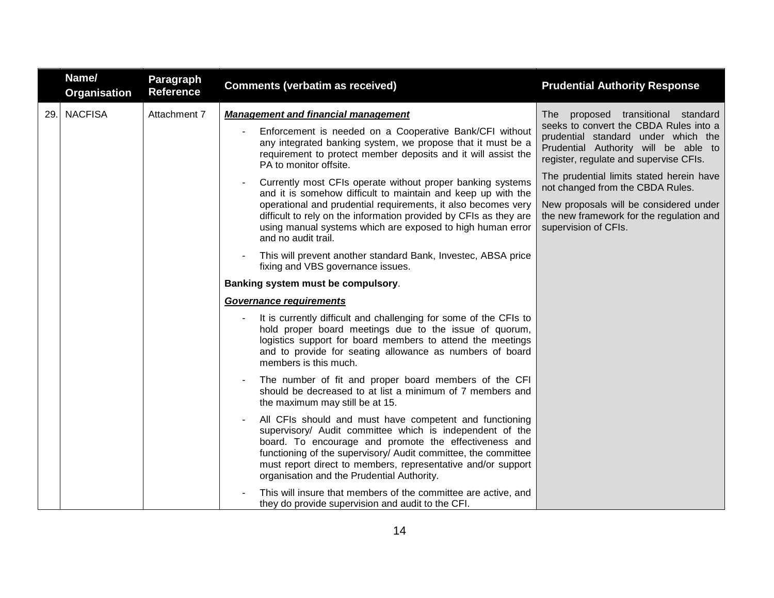|     | Name/<br><b>Organisation</b> | Paragraph<br><b>Reference</b> | <b>Comments (verbatim as received)</b>                                                                                                                                                                                                                                                                                                                       | <b>Prudential Authority Response</b>                                                                                                                                                                              |                                                                                                                                                                 |
|-----|------------------------------|-------------------------------|--------------------------------------------------------------------------------------------------------------------------------------------------------------------------------------------------------------------------------------------------------------------------------------------------------------------------------------------------------------|-------------------------------------------------------------------------------------------------------------------------------------------------------------------------------------------------------------------|-----------------------------------------------------------------------------------------------------------------------------------------------------------------|
| 29. | <b>NACFISA</b>               | Attachment 7                  | <b>Management and financial management</b>                                                                                                                                                                                                                                                                                                                   | proposed transitional standard<br>The                                                                                                                                                                             |                                                                                                                                                                 |
|     |                              |                               |                                                                                                                                                                                                                                                                                                                                                              | Enforcement is needed on a Cooperative Bank/CFI without<br>any integrated banking system, we propose that it must be a<br>requirement to protect member deposits and it will assist the<br>PA to monitor offsite. | seeks to convert the CBDA Rules into a<br>prudential standard under which the<br>Prudential Authority will be able to<br>register, regulate and supervise CFIs. |
|     |                              |                               | Currently most CFIs operate without proper banking systems<br>and it is somehow difficult to maintain and keep up with the                                                                                                                                                                                                                                   | The prudential limits stated herein have<br>not changed from the CBDA Rules.                                                                                                                                      |                                                                                                                                                                 |
|     |                              |                               | operational and prudential requirements, it also becomes very<br>difficult to rely on the information provided by CFIs as they are<br>using manual systems which are exposed to high human error<br>and no audit trail.                                                                                                                                      | New proposals will be considered under<br>the new framework for the regulation and<br>supervision of CFIs.                                                                                                        |                                                                                                                                                                 |
|     |                              |                               | This will prevent another standard Bank, Investec, ABSA price<br>fixing and VBS governance issues.                                                                                                                                                                                                                                                           |                                                                                                                                                                                                                   |                                                                                                                                                                 |
|     |                              |                               | Banking system must be compulsory.                                                                                                                                                                                                                                                                                                                           |                                                                                                                                                                                                                   |                                                                                                                                                                 |
|     |                              |                               | <b>Governance requirements</b>                                                                                                                                                                                                                                                                                                                               |                                                                                                                                                                                                                   |                                                                                                                                                                 |
|     |                              |                               | It is currently difficult and challenging for some of the CFIs to<br>hold proper board meetings due to the issue of quorum,<br>logistics support for board members to attend the meetings<br>and to provide for seating allowance as numbers of board<br>members is this much.                                                                               |                                                                                                                                                                                                                   |                                                                                                                                                                 |
|     |                              |                               | The number of fit and proper board members of the CFI<br>$\blacksquare$<br>should be decreased to at list a minimum of 7 members and<br>the maximum may still be at 15.                                                                                                                                                                                      |                                                                                                                                                                                                                   |                                                                                                                                                                 |
|     |                              |                               | All CFIs should and must have competent and functioning<br>supervisory/ Audit committee which is independent of the<br>board. To encourage and promote the effectiveness and<br>functioning of the supervisory/ Audit committee, the committee<br>must report direct to members, representative and/or support<br>organisation and the Prudential Authority. |                                                                                                                                                                                                                   |                                                                                                                                                                 |
|     |                              |                               | This will insure that members of the committee are active, and<br>they do provide supervision and audit to the CFI.                                                                                                                                                                                                                                          |                                                                                                                                                                                                                   |                                                                                                                                                                 |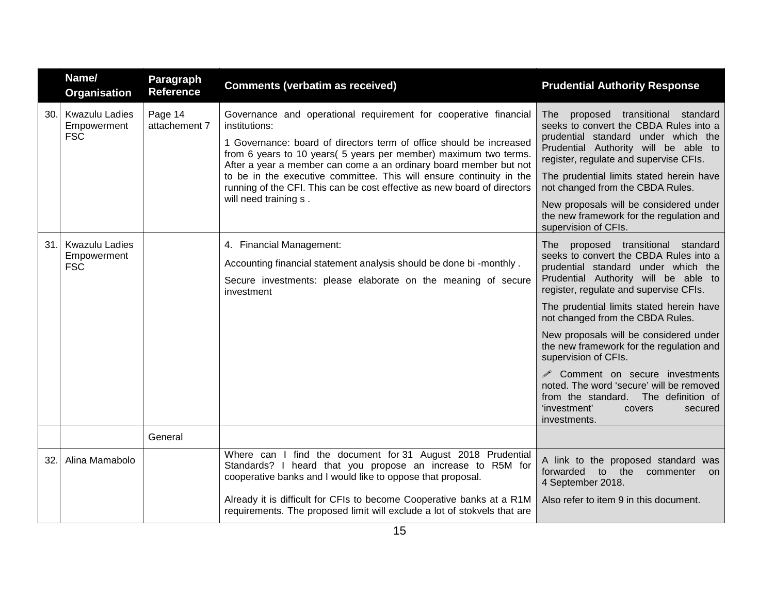|     | Name/<br><b>Organisation</b>                       | Paragraph<br><b>Reference</b> | <b>Comments (verbatim as received)</b>                                                                                                                                                                                                                                                                                                                                                                                                                                         | <b>Prudential Authority Response</b>                                                                                                                                                                                                                                                                                                                                                                                                                                                                                                                                               |
|-----|----------------------------------------------------|-------------------------------|--------------------------------------------------------------------------------------------------------------------------------------------------------------------------------------------------------------------------------------------------------------------------------------------------------------------------------------------------------------------------------------------------------------------------------------------------------------------------------|------------------------------------------------------------------------------------------------------------------------------------------------------------------------------------------------------------------------------------------------------------------------------------------------------------------------------------------------------------------------------------------------------------------------------------------------------------------------------------------------------------------------------------------------------------------------------------|
| 30. | <b>Kwazulu Ladies</b><br>Empowerment<br><b>FSC</b> | Page 14<br>attachement 7      | Governance and operational requirement for cooperative financial<br>institutions:<br>1 Governance: board of directors term of office should be increased<br>from 6 years to 10 years (5 years per member) maximum two terms.<br>After a year a member can come a an ordinary board member but not<br>to be in the executive committee. This will ensure continuity in the<br>running of the CFI. This can be cost effective as new board of directors<br>will need training s. | proposed transitional standard<br>The l<br>seeks to convert the CBDA Rules into a<br>prudential standard under which the<br>Prudential Authority will be able to<br>register, regulate and supervise CFIs.<br>The prudential limits stated herein have<br>not changed from the CBDA Rules.<br>New proposals will be considered under<br>the new framework for the regulation and<br>supervision of CFIs.                                                                                                                                                                           |
| 31. | <b>Kwazulu Ladies</b><br>Empowerment<br><b>FSC</b> |                               | 4. Financial Management:<br>Accounting financial statement analysis should be done bi -monthly.<br>Secure investments: please elaborate on the meaning of secure<br>investment                                                                                                                                                                                                                                                                                                 | The proposed transitional standard<br>seeks to convert the CBDA Rules into a<br>prudential standard under which the<br>Prudential Authority will be able to<br>register, regulate and supervise CFIs.<br>The prudential limits stated herein have<br>not changed from the CBDA Rules.<br>New proposals will be considered under<br>the new framework for the regulation and<br>supervision of CFIs.<br>iges Comment on secure investments<br>noted. The word 'secure' will be removed<br>from the standard. The definition of<br>'investment'<br>covers<br>secured<br>investments. |
|     |                                                    | General                       |                                                                                                                                                                                                                                                                                                                                                                                                                                                                                |                                                                                                                                                                                                                                                                                                                                                                                                                                                                                                                                                                                    |
| 32. | Alina Mamabolo                                     |                               | Where can I find the document for 31 August 2018 Prudential<br>Standards? I heard that you propose an increase to R5M for<br>cooperative banks and I would like to oppose that proposal.                                                                                                                                                                                                                                                                                       | A link to the proposed standard was<br>forwarded to the<br>commenter<br>on<br>4 September 2018.                                                                                                                                                                                                                                                                                                                                                                                                                                                                                    |
|     |                                                    |                               | Already it is difficult for CFIs to become Cooperative banks at a R1M<br>requirements. The proposed limit will exclude a lot of stokvels that are                                                                                                                                                                                                                                                                                                                              | Also refer to item 9 in this document.                                                                                                                                                                                                                                                                                                                                                                                                                                                                                                                                             |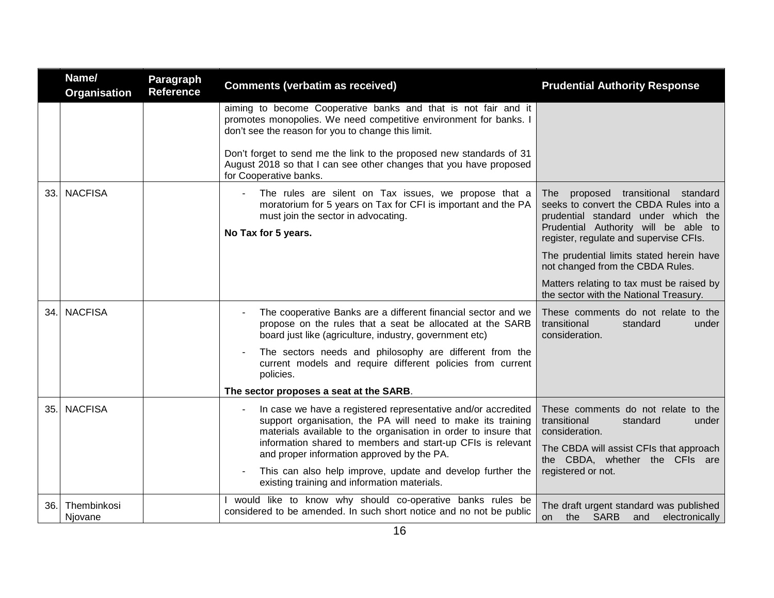|     | Name/<br>Organisation  | Paragraph<br><b>Reference</b> | <b>Comments (verbatim as received)</b>                                                                                                                                                                                                                                                                                                                                                                                     | <b>Prudential Authority Response</b>                                                                                                                                                                     |
|-----|------------------------|-------------------------------|----------------------------------------------------------------------------------------------------------------------------------------------------------------------------------------------------------------------------------------------------------------------------------------------------------------------------------------------------------------------------------------------------------------------------|----------------------------------------------------------------------------------------------------------------------------------------------------------------------------------------------------------|
|     |                        |                               | aiming to become Cooperative banks and that is not fair and it<br>promotes monopolies. We need competitive environment for banks. I<br>don't see the reason for you to change this limit.                                                                                                                                                                                                                                  |                                                                                                                                                                                                          |
|     |                        |                               | Don't forget to send me the link to the proposed new standards of 31<br>August 2018 so that I can see other changes that you have proposed<br>for Cooperative banks.                                                                                                                                                                                                                                                       |                                                                                                                                                                                                          |
| 33. | <b>NACFISA</b>         |                               | The rules are silent on Tax issues, we propose that a<br>moratorium for 5 years on Tax for CFI is important and the PA<br>must join the sector in advocating.                                                                                                                                                                                                                                                              | proposed transitional standard<br>The<br>seeks to convert the CBDA Rules into a<br>prudential standard under which the<br>Prudential Authority will be able to<br>register, regulate and supervise CFIs. |
|     |                        |                               | No Tax for 5 years.                                                                                                                                                                                                                                                                                                                                                                                                        |                                                                                                                                                                                                          |
|     |                        |                               |                                                                                                                                                                                                                                                                                                                                                                                                                            | The prudential limits stated herein have<br>not changed from the CBDA Rules.                                                                                                                             |
|     |                        |                               |                                                                                                                                                                                                                                                                                                                                                                                                                            | Matters relating to tax must be raised by<br>the sector with the National Treasury.                                                                                                                      |
| 34. | <b>NACFISA</b>         |                               | The cooperative Banks are a different financial sector and we<br>propose on the rules that a seat be allocated at the SARB<br>board just like (agriculture, industry, government etc)                                                                                                                                                                                                                                      | These comments do not relate to the<br>transitional<br>standard<br>under<br>consideration.                                                                                                               |
|     |                        |                               | The sectors needs and philosophy are different from the<br>current models and require different policies from current<br>policies.                                                                                                                                                                                                                                                                                         |                                                                                                                                                                                                          |
|     |                        |                               | The sector proposes a seat at the SARB.                                                                                                                                                                                                                                                                                                                                                                                    |                                                                                                                                                                                                          |
| 35. | <b>NACFISA</b>         |                               | In case we have a registered representative and/or accredited<br>support organisation, the PA will need to make its training<br>materials available to the organisation in order to insure that<br>information shared to members and start-up CFIs is relevant<br>and proper information approved by the PA.<br>This can also help improve, update and develop further the<br>existing training and information materials. | These comments do not relate to the<br>transitional<br>standard<br>under<br>consideration.<br>The CBDA will assist CFIs that approach<br>the CBDA, whether the CFIs are<br>registered or not.            |
| 36. | Thembinkosi<br>Njovane |                               | would like to know why should co-operative banks rules be<br>considered to be amended. In such short notice and no not be public                                                                                                                                                                                                                                                                                           | The draft urgent standard was published<br>the SARB<br>and<br>electronically<br>on.                                                                                                                      |